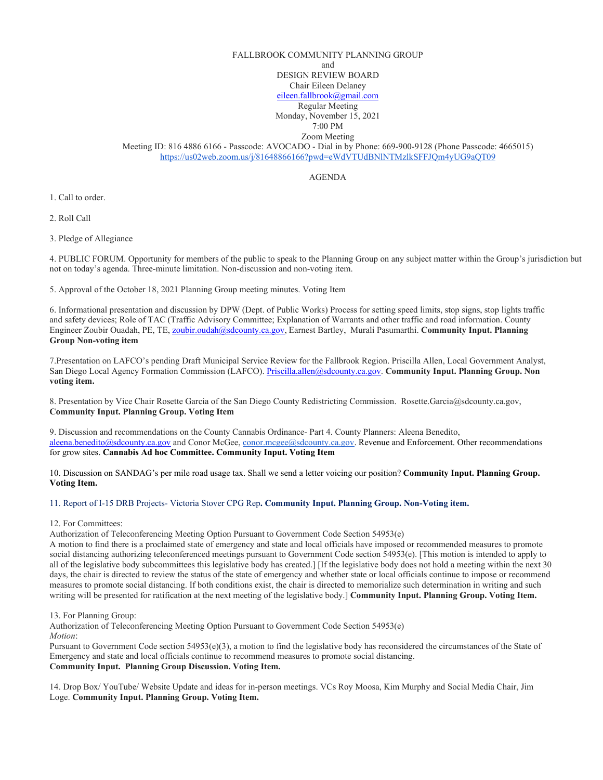## FALLBROOK COMMUNITY PLANNING GROUP and

DESIGN REVIEW BOARD Chair Eileen Delaney

[eileen.fallbrook@gmail.com](mailto:eileen.fallbrook@gmail.com)

Regular Meeting

Monday, November 15, 2021

7:00 PM Zoom Meeting

Meeting ID: 816 4886 6166 - Passcode: AVOCADO - Dial in by Phone: 669-900-9128 (Phone Passcode: 4665015) <https://us02web.zoom.us/j/81648866166?pwd=eWdVTUdBNlNTMzlkSFFJQm4yUG9aQT09>

AGENDA

1. Call to order.

2. Roll Call

3. Pledge of Allegiance

4. PUBLIC FORUM. Opportunity for members of the public to speak to the Planning Group on any subject matter within the Group's jurisdiction but not on today's agenda. Three-minute limitation. Non-discussion and non-voting item.

5. Approval of the October 18, 2021 Planning Group meeting minutes. Voting Item

6. Informational presentation and discussion by DPW (Dept. of Public Works) Process for setting speed limits, stop signs, stop lights traffic and safety devices; Role of TAC (Traffic Advisory Committee; Explanation of Warrants and other traffic and road information. County Engineer Zoubir Ouadah, PE, TE, [zoubir.oudah@sdcounty.ca.gov,](mailto:zoubir.oudah@sdcounty.ca.gov) Earnest Bartley, Murali Pasumarthi. **Community Input. Planning Group Non-voting item**

7.Presentation on LAFCO's pending Draft Municipal Service Review for the Fallbrook Region. Priscilla Allen, Local Government Analyst, San Diego Local Agency Formation Commission (LAFCO). [Priscilla.allen@sdcounty.ca.gov.](mailto:Priscilla.allen@sdcounty.ca.gov) **Community Input. Planning Group. Non voting item.** 

8. Presentation by Vice Chair Rosette Garcia of the San Diego County Redistricting Commission. Rosette.Garcia@sdcounty.ca.gov, **Community Input. Planning Group. Voting Item**

9. Discussion and recommendations on the County Cannabis Ordinance- Part 4. County Planners: Aleena Benedito, [aleena.benedito@sdcounty.ca.gov](mailto:aleena.benedito@sdcounty.ca.gov) and Conor McGee, [conor.mcgee@sdcounty.ca.gov.](mailto:conor.mcgee@sdcounty.ca.gov) Revenue and Enforcement. Other recommendations for grow sites. **Cannabis Ad hoc Committee. Community Input. Voting Item**

10. Discussion on SANDAG's per mile road usage tax. Shall we send a letter voicing our position? **Community Input. Planning Group. Voting Item.**

11. Report of I-15 DRB Projects- Victoria Stover CPG Rep**. Community Input. Planning Group. Non-Voting item.**

12. For Committees:

Authorization of Teleconferencing Meeting Option Pursuant to Government Code Section 54953(e)

A motion to find there is a proclaimed state of emergency and state and local officials have imposed or recommended measures to promote social distancing authorizing teleconferenced meetings pursuant to Government Code section 54953(e). [This motion is intended to apply to all of the legislative body subcommittees this legislative body has created.] [If the legislative body does not hold a meeting within the next 30 days, the chair is directed to review the status of the state of emergency and whether state or local officials continue to impose or recommend measures to promote social distancing. If both conditions exist, the chair is directed to memorialize such determination in writing and such writing will be presented for ratification at the next meeting of the legislative body.] **Community Input. Planning Group. Voting Item.**

13. For Planning Group:

Authorization of Teleconferencing Meeting Option Pursuant to Government Code Section 54953(e) *Motion*:

Pursuant to Government Code section 54953(e)(3), a motion to find the legislative body has reconsidered the circumstances of the State of Emergency and state and local officials continue to recommend measures to promote social distancing. **Community Input. Planning Group Discussion. Voting Item.** 

14. Drop Box/ YouTube/ Website Update and ideas for in-person meetings. VCs Roy Moosa, Kim Murphy and Social Media Chair, Jim Loge. **Community Input. Planning Group. Voting Item.**